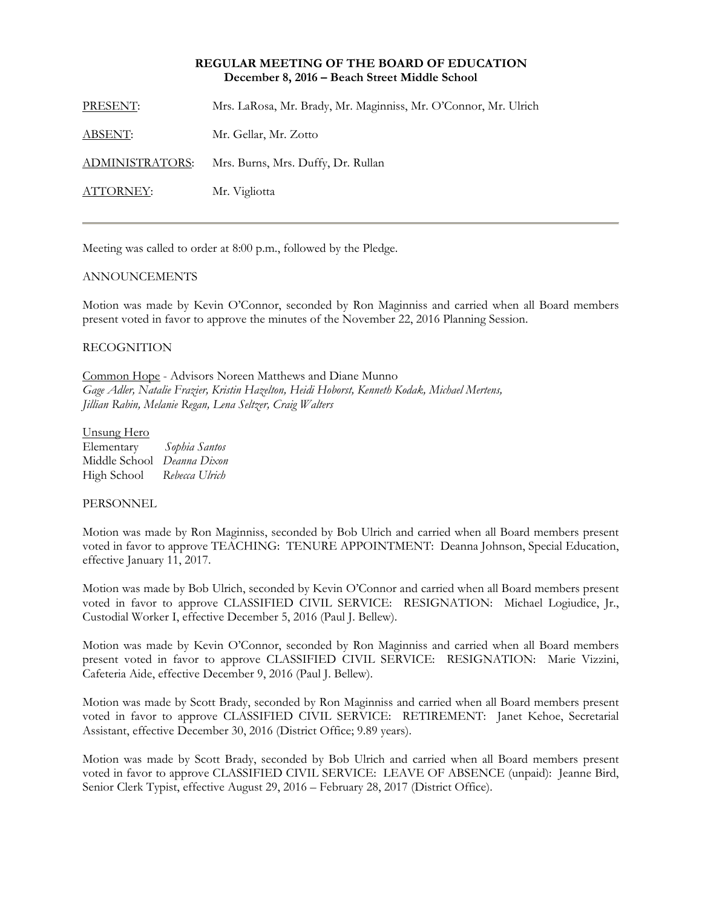### **REGULAR MEETING OF THE BOARD OF EDUCATION December 8, 2016 – Beach Street Middle School**

PRESENT: Mrs. LaRosa, Mr. Brady, Mr. Maginniss, Mr. O'Connor, Mr. Ulrich ABSENT: Mr. Gellar, Mr. Zotto ADMINISTRATORS: Mrs. Burns, Mrs. Duffy, Dr. Rullan ATTORNEY: Mr. Vigliotta

Meeting was called to order at 8:00 p.m., followed by the Pledge.

# ANNOUNCEMENTS

Motion was made by Kevin O'Connor, seconded by Ron Maginniss and carried when all Board members present voted in favor to approve the minutes of the November 22, 2016 Planning Session.

# RECOGNITION

Common Hope - Advisors Noreen Matthews and Diane Munno *Gage Adler, Natalie Frazier, Kristin Hazelton, Heidi Hoborst, Kenneth Kodak, Michael Mertens, Jillian Rabin, Melanie Regan, Lena Seltzer, Craig Walters* 

#### Unsung Hero

| Elementary    | Sophia Santos  |
|---------------|----------------|
| Middle School | Deanna Dixon   |
| High School   | Rebecca Ulrich |

### PERSONNEL

Motion was made by Ron Maginniss, seconded by Bob Ulrich and carried when all Board members present voted in favor to approve TEACHING: TENURE APPOINTMENT: Deanna Johnson, Special Education, effective January 11, 2017.

Motion was made by Bob Ulrich, seconded by Kevin O'Connor and carried when all Board members present voted in favor to approve CLASSIFIED CIVIL SERVICE: RESIGNATION: Michael Logiudice, Jr., Custodial Worker I, effective December 5, 2016 (Paul J. Bellew).

Motion was made by Kevin O'Connor, seconded by Ron Maginniss and carried when all Board members present voted in favor to approve CLASSIFIED CIVIL SERVICE: RESIGNATION: Marie Vizzini, Cafeteria Aide, effective December 9, 2016 (Paul J. Bellew).

Motion was made by Scott Brady, seconded by Ron Maginniss and carried when all Board members present voted in favor to approve CLASSIFIED CIVIL SERVICE: RETIREMENT: Janet Kehoe, Secretarial Assistant, effective December 30, 2016 (District Office; 9.89 years).

Motion was made by Scott Brady, seconded by Bob Ulrich and carried when all Board members present voted in favor to approve CLASSIFIED CIVIL SERVICE: LEAVE OF ABSENCE (unpaid): Jeanne Bird, Senior Clerk Typist, effective August 29, 2016 – February 28, 2017 (District Office).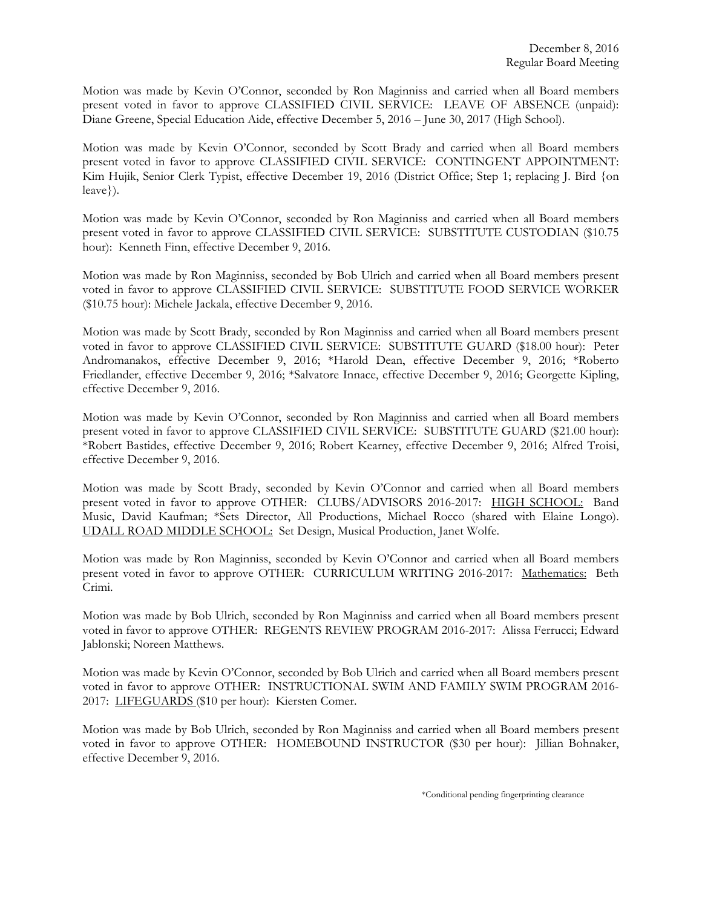Motion was made by Kevin O'Connor, seconded by Ron Maginniss and carried when all Board members present voted in favor to approve CLASSIFIED CIVIL SERVICE: LEAVE OF ABSENCE (unpaid): Diane Greene, Special Education Aide, effective December 5, 2016 – June 30, 2017 (High School).

Motion was made by Kevin O'Connor, seconded by Scott Brady and carried when all Board members present voted in favor to approve CLASSIFIED CIVIL SERVICE: CONTINGENT APPOINTMENT: Kim Hujik, Senior Clerk Typist, effective December 19, 2016 (District Office; Step 1; replacing J. Bird {on leave}).

Motion was made by Kevin O'Connor, seconded by Ron Maginniss and carried when all Board members present voted in favor to approve CLASSIFIED CIVIL SERVICE: SUBSTITUTE CUSTODIAN (\$10.75 hour): Kenneth Finn, effective December 9, 2016.

Motion was made by Ron Maginniss, seconded by Bob Ulrich and carried when all Board members present voted in favor to approve CLASSIFIED CIVIL SERVICE: SUBSTITUTE FOOD SERVICE WORKER (\$10.75 hour): Michele Jackala, effective December 9, 2016.

Motion was made by Scott Brady, seconded by Ron Maginniss and carried when all Board members present voted in favor to approve CLASSIFIED CIVIL SERVICE: SUBSTITUTE GUARD (\$18.00 hour): Peter Andromanakos, effective December 9, 2016; \*Harold Dean, effective December 9, 2016; \*Roberto Friedlander, effective December 9, 2016; \*Salvatore Innace, effective December 9, 2016; Georgette Kipling, effective December 9, 2016.

Motion was made by Kevin O'Connor, seconded by Ron Maginniss and carried when all Board members present voted in favor to approve CLASSIFIED CIVIL SERVICE: SUBSTITUTE GUARD (\$21.00 hour): \*Robert Bastides, effective December 9, 2016; Robert Kearney, effective December 9, 2016; Alfred Troisi, effective December 9, 2016.

Motion was made by Scott Brady, seconded by Kevin O'Connor and carried when all Board members present voted in favor to approve OTHER: CLUBS/ADVISORS 2016-2017: HIGH SCHOOL: Band Music, David Kaufman; \*Sets Director, All Productions, Michael Rocco (shared with Elaine Longo). UDALL ROAD MIDDLE SCHOOL: Set Design, Musical Production, Janet Wolfe.

Motion was made by Ron Maginniss, seconded by Kevin O'Connor and carried when all Board members present voted in favor to approve OTHER: CURRICULUM WRITING 2016-2017: Mathematics: Beth Crimi.

Motion was made by Bob Ulrich, seconded by Ron Maginniss and carried when all Board members present voted in favor to approve OTHER: REGENTS REVIEW PROGRAM 2016-2017: Alissa Ferrucci; Edward Jablonski; Noreen Matthews.

Motion was made by Kevin O'Connor, seconded by Bob Ulrich and carried when all Board members present voted in favor to approve OTHER: INSTRUCTIONAL SWIM AND FAMILY SWIM PROGRAM 2016- 2017: LIFEGUARDS (\$10 per hour): Kiersten Comer.

Motion was made by Bob Ulrich, seconded by Ron Maginniss and carried when all Board members present voted in favor to approve OTHER: HOMEBOUND INSTRUCTOR (\$30 per hour): Jillian Bohnaker, effective December 9, 2016.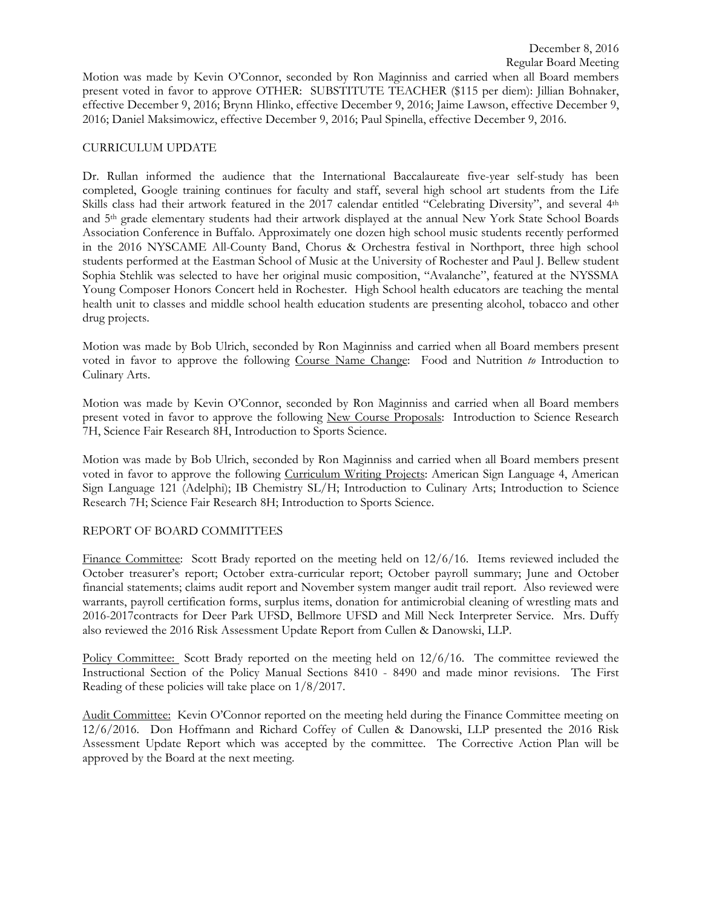# CURRICULUM UPDATE

Dr. Rullan informed the audience that the International Baccalaureate five-year self-study has been completed, Google training continues for faculty and staff, several high school art students from the Life Skills class had their artwork featured in the 2017 calendar entitled "Celebrating Diversity", and several 4th and 5th grade elementary students had their artwork displayed at the annual New York State School Boards Association Conference in Buffalo. Approximately one dozen high school music students recently performed in the 2016 NYSCAME All-County Band, Chorus & Orchestra festival in Northport, three high school students performed at the Eastman School of Music at the University of Rochester and Paul J. Bellew student Sophia Stehlik was selected to have her original music composition, "Avalanche", featured at the NYSSMA Young Composer Honors Concert held in Rochester. High School health educators are teaching the mental health unit to classes and middle school health education students are presenting alcohol, tobacco and other drug projects.

Motion was made by Bob Ulrich, seconded by Ron Maginniss and carried when all Board members present voted in favor to approve the following Course Name Change: Food and Nutrition *to* Introduction to Culinary Arts.

Motion was made by Kevin O'Connor, seconded by Ron Maginniss and carried when all Board members present voted in favor to approve the following New Course Proposals: Introduction to Science Research 7H, Science Fair Research 8H, Introduction to Sports Science.

Motion was made by Bob Ulrich, seconded by Ron Maginniss and carried when all Board members present voted in favor to approve the following Curriculum Writing Projects: American Sign Language 4, American Sign Language 121 (Adelphi); IB Chemistry SL/H; Introduction to Culinary Arts; Introduction to Science Research 7H; Science Fair Research 8H; Introduction to Sports Science.

### REPORT OF BOARD COMMITTEES

Finance Committee: Scott Brady reported on the meeting held on 12/6/16. Items reviewed included the October treasurer's report; October extra-curricular report; October payroll summary; June and October financial statements; claims audit report and November system manger audit trail report. Also reviewed were warrants, payroll certification forms, surplus items, donation for antimicrobial cleaning of wrestling mats and 2016-2017contracts for Deer Park UFSD, Bellmore UFSD and Mill Neck Interpreter Service. Mrs. Duffy also reviewed the 2016 Risk Assessment Update Report from Cullen & Danowski, LLP.

Policy Committee: Scott Brady reported on the meeting held on 12/6/16. The committee reviewed the Instructional Section of the Policy Manual Sections 8410 - 8490 and made minor revisions. The First Reading of these policies will take place on 1/8/2017.

Audit Committee: Kevin O'Connor reported on the meeting held during the Finance Committee meeting on 12/6/2016. Don Hoffmann and Richard Coffey of Cullen & Danowski, LLP presented the 2016 Risk Assessment Update Report which was accepted by the committee. The Corrective Action Plan will be approved by the Board at the next meeting.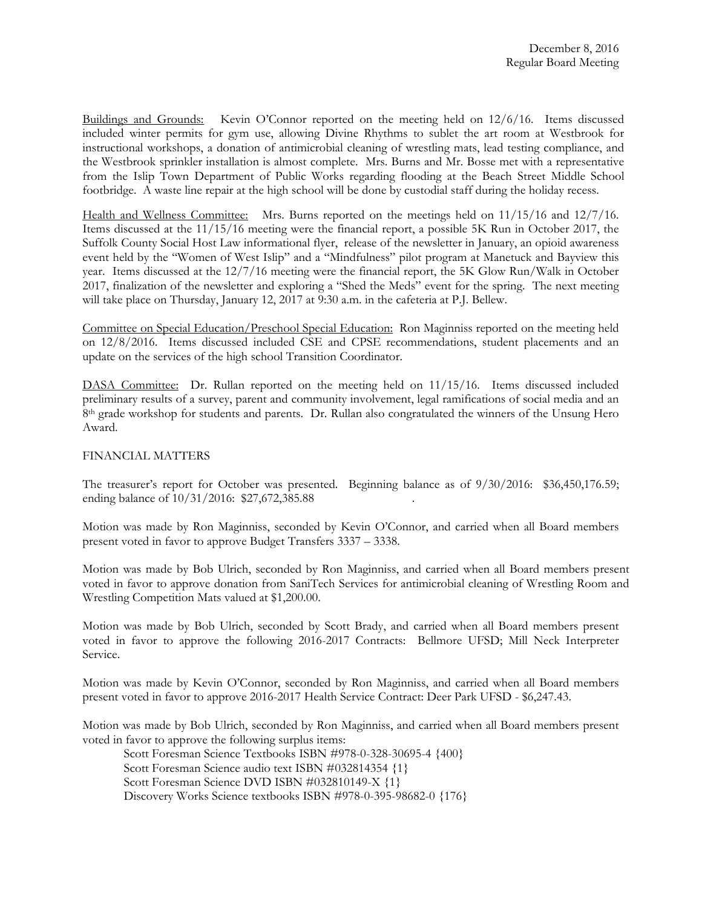Buildings and Grounds: Kevin O'Connor reported on the meeting held on 12/6/16. Items discussed included winter permits for gym use, allowing Divine Rhythms to sublet the art room at Westbrook for instructional workshops, a donation of antimicrobial cleaning of wrestling mats, lead testing compliance, and the Westbrook sprinkler installation is almost complete. Mrs. Burns and Mr. Bosse met with a representative from the Islip Town Department of Public Works regarding flooding at the Beach Street Middle School footbridge. A waste line repair at the high school will be done by custodial staff during the holiday recess.

Health and Wellness Committee: Mrs. Burns reported on the meetings held on 11/15/16 and 12/7/16. Items discussed at the 11/15/16 meeting were the financial report, a possible 5K Run in October 2017, the Suffolk County Social Host Law informational flyer, release of the newsletter in January, an opioid awareness event held by the "Women of West Islip" and a "Mindfulness" pilot program at Manetuck and Bayview this year. Items discussed at the 12/7/16 meeting were the financial report, the 5K Glow Run/Walk in October 2017, finalization of the newsletter and exploring a "Shed the Meds" event for the spring. The next meeting will take place on Thursday, January 12, 2017 at 9:30 a.m. in the cafeteria at P.J. Bellew.

Committee on Special Education/Preschool Special Education: Ron Maginniss reported on the meeting held on 12/8/2016. Items discussed included CSE and CPSE recommendations, student placements and an update on the services of the high school Transition Coordinator.

DASA Committee: Dr. Rullan reported on the meeting held on 11/15/16. Items discussed included preliminary results of a survey, parent and community involvement, legal ramifications of social media and an 8<sup>th</sup> grade workshop for students and parents. Dr. Rullan also congratulated the winners of the Unsung Hero Award.

### FINANCIAL MATTERS

The treasurer's report for October was presented. Beginning balance as of 9/30/2016: \$36,450,176.59; ending balance of  $10/31/2016$ : \$27,672,385.88

Motion was made by Ron Maginniss, seconded by Kevin O'Connor, and carried when all Board members present voted in favor to approve Budget Transfers 3337 – 3338.

Motion was made by Bob Ulrich, seconded by Ron Maginniss, and carried when all Board members present voted in favor to approve donation from SaniTech Services for antimicrobial cleaning of Wrestling Room and Wrestling Competition Mats valued at \$1,200.00.

Motion was made by Bob Ulrich, seconded by Scott Brady, and carried when all Board members present voted in favor to approve the following 2016-2017 Contracts: Bellmore UFSD; Mill Neck Interpreter Service.

Motion was made by Kevin O'Connor, seconded by Ron Maginniss, and carried when all Board members present voted in favor to approve 2016-2017 Health Service Contract: Deer Park UFSD - \$6,247.43.

Motion was made by Bob Ulrich, seconded by Ron Maginniss, and carried when all Board members present voted in favor to approve the following surplus items:

Scott Foresman Science Textbooks ISBN #978-0-328-30695-4 {400}

Scott Foresman Science audio text ISBN #032814354 {1}

Scott Foresman Science DVD ISBN #032810149-X {1}

Discovery Works Science textbooks ISBN #978-0-395-98682-0 {176}